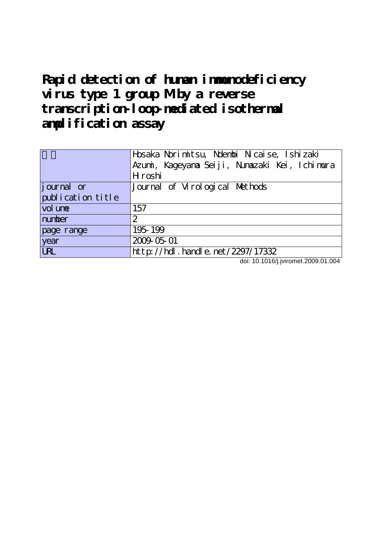# **Rapid detection of human immunodeficiency** virus type 1 group Mby a reverse **transcription-loop-mediated isothermal amplification assay**

| Azumi, Kageyana Seiji, Nunazaki Kei, Ichimura       |
|-----------------------------------------------------|
|                                                     |
| H roshi                                             |
| journal or<br>Journal of Virological Methods        |
| publication title                                   |
| vol une<br>157                                      |
| number<br>2                                         |
| 195-199<br>page range                               |
| 2009-05-01<br>year                                  |
| <b>URL</b><br>$http$ ://hdl. handle. net/2297/17332 |

doi: 10.1016/j.jviromet.2009.01.004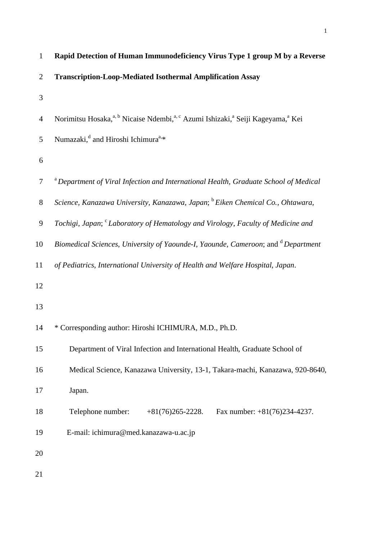| $\mathbf{1}$   | Rapid Detection of Human Immunodeficiency Virus Type 1 group M by a Reverse                                                     |
|----------------|---------------------------------------------------------------------------------------------------------------------------------|
| $\overline{2}$ | <b>Transcription-Loop-Mediated Isothermal Amplification Assay</b>                                                               |
| 3              |                                                                                                                                 |
| $\overline{4}$ | Norimitsu Hosaka, <sup>a, b</sup> Nicaise Ndembi, <sup>a, c</sup> Azumi Ishizaki, <sup>a</sup> Seiji Kageyama, <sup>a</sup> Kei |
| 5              | Numazaki, <sup>d</sup> and Hiroshi Ichimura <sup>a,*</sup>                                                                      |
| 6              |                                                                                                                                 |
| $\tau$         | <sup>a</sup> Department of Viral Infection and International Health, Graduate School of Medical                                 |
| $8\,$          | Science, Kanazawa University, Kanazawa, Japan; <sup>b</sup> Eiken Chemical Co., Ohtawara,                                       |
| 9              | Tochigi, Japan; <sup>c</sup> Laboratory of Hematology and Virology, Faculty of Medicine and                                     |
| 10             | Biomedical Sciences, University of Yaounde-I, Yaounde, Cameroon; and <sup>d</sup> Department                                    |
| 11             | of Pediatrics, International University of Health and Welfare Hospital, Japan.                                                  |
| 12             |                                                                                                                                 |
| 13             |                                                                                                                                 |
| 14             | * Corresponding author: Hiroshi ICHIMURA, M.D., Ph.D.                                                                           |
| 15             | Department of Viral Infection and International Health, Graduate School of                                                      |
| 16             | Medical Science, Kanazawa University, 13-1, Takara-machi, Kanazawa, 920-8640,                                                   |
| 17             | Japan.                                                                                                                          |
| 18             | Telephone number:<br>Fax number: $+81(76)234-4237$ .<br>$+81(76)265-2228.$                                                      |
| 19             | E-mail: ichimura@med.kanazawa-u.ac.jp                                                                                           |
| 20             |                                                                                                                                 |
| 21             |                                                                                                                                 |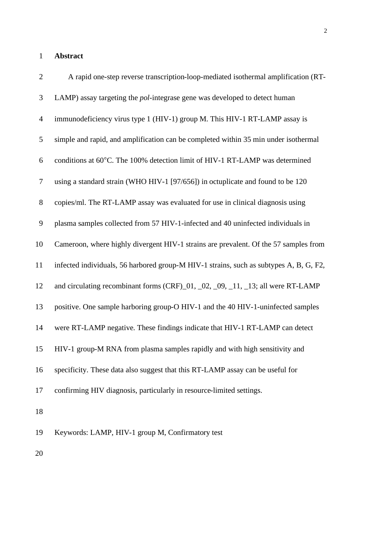#### **Abstract**

| $\overline{2}$ | A rapid one-step reverse transcription-loop-mediated isothermal amplification (RT-     |
|----------------|----------------------------------------------------------------------------------------|
| 3              | LAMP) assay targeting the <i>pol</i> -integrase gene was developed to detect human     |
| $\overline{4}$ | immunodeficiency virus type 1 (HIV-1) group M. This HIV-1 RT-LAMP assay is             |
| 5              | simple and rapid, and amplification can be completed within 35 min under isothermal    |
| 6              | conditions at 60°C. The 100% detection limit of HIV-1 RT-LAMP was determined           |
| $\overline{7}$ | using a standard strain (WHO HIV-1 [97/656]) in octuplicate and found to be 120        |
| $8\,$          | copies/ml. The RT-LAMP assay was evaluated for use in clinical diagnosis using         |
| 9              | plasma samples collected from 57 HIV-1-infected and 40 uninfected individuals in       |
| 10             | Cameroon, where highly divergent HIV-1 strains are prevalent. Of the 57 samples from   |
| 11             | infected individuals, 56 harbored group-M HIV-1 strains, such as subtypes A, B, G, F2, |
| 12             | and circulating recombinant forms (CRF)_01, _02, _09, _11, _13; all were RT-LAMP       |
| 13             | positive. One sample harboring group-O HIV-1 and the 40 HIV-1-uninfected samples       |
| 14             | were RT-LAMP negative. These findings indicate that HIV-1 RT-LAMP can detect           |
| 15             | HIV-1 group-M RNA from plasma samples rapidly and with high sensitivity and            |
| 16             | specificity. These data also suggest that this RT-LAMP assay can be useful for         |
| 17             | confirming HIV diagnosis, particularly in resource-limited settings.                   |
| 18             |                                                                                        |
| 19             | Keywords: LAMP, HIV-1 group M, Confirmatory test                                       |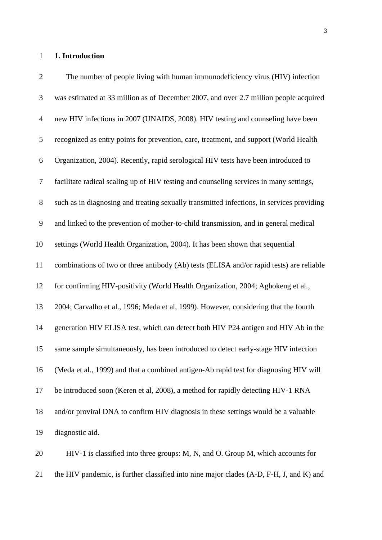#### **1. Introduction**

 The number of people living with human immunodeficiency virus (HIV) infection was estimated at 33 million as of December 2007, and over 2.7 million people acquired new HIV infections in 2007 (UNAIDS, 2008). HIV testing and counseling have been recognized as entry points for prevention, care, treatment, and support (World Health Organization, 2004). Recently, rapid serological HIV tests have been introduced to facilitate radical scaling up of HIV testing and counseling services in many settings, such as in diagnosing and treating sexually transmitted infections, in services providing and linked to the prevention of mother-to-child transmission, and in general medical settings (World Health Organization, 2004). It has been shown that sequential combinations of two or three antibody (Ab) tests (ELISA and/or rapid tests) are reliable for confirming HIV-positivity (World Health Organization, 2004; Aghokeng et al., 2004; Carvalho et al., 1996; Meda et al, 1999). However, considering that the fourth generation HIV ELISA test, which can detect both HIV P24 antigen and HIV Ab in the same sample simultaneously, has been introduced to detect early-stage HIV infection (Meda et al., 1999) and that a combined antigen-Ab rapid test for diagnosing HIV will be introduced soon (Keren et al, 2008), a method for rapidly detecting HIV-1 RNA and/or proviral DNA to confirm HIV diagnosis in these settings would be a valuable diagnostic aid. HIV-1 is classified into three groups: M, N, and O. Group M, which accounts for

the HIV pandemic, is further classified into nine major clades (A-D, F-H, J, and K) and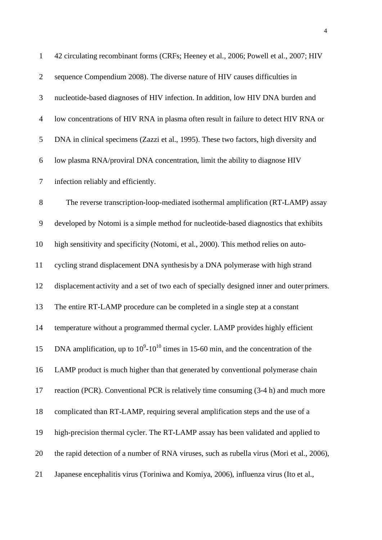| $\mathbf{1}$   | 42 circulating recombinant forms (CRFs; Heeney et al., 2006; Powell et al., 2007; HIV        |
|----------------|----------------------------------------------------------------------------------------------|
| $\overline{2}$ | sequence Compendium 2008). The diverse nature of HIV causes difficulties in                  |
| 3              | nucleotide-based diagnoses of HIV infection. In addition, low HIV DNA burden and             |
| 4              | low concentrations of HIV RNA in plasma often result in failure to detect HIV RNA or         |
| 5              | DNA in clinical specimens (Zazzi et al., 1995). These two factors, high diversity and        |
| 6              | low plasma RNA/proviral DNA concentration, limit the ability to diagnose HIV                 |
| $\tau$         | infection reliably and efficiently.                                                          |
| 8              | The reverse transcription-loop-mediated isothermal amplification (RT-LAMP) assay             |
| 9              | developed by Notomi is a simple method for nucleotide-based diagnostics that exhibits        |
| 10             | high sensitivity and specificity (Notomi, et al., 2000). This method relies on auto-         |
| 11             | cycling strand displacement DNA synthesis by a DNA polymerase with high strand               |
| 12             | displacement activity and a set of two each of specially designed inner and outer primers.   |
| 13             | The entire RT-LAMP procedure can be completed in a single step at a constant                 |
| 14             | temperature without a programmed thermal cycler. LAMP provides highly efficient              |
| 15             | DNA amplification, up to $10^9$ - $10^{10}$ times in 15-60 min, and the concentration of the |
| 16             | LAMP product is much higher than that generated by conventional polymerase chain             |
| 17             | reaction (PCR). Conventional PCR is relatively time consuming (3-4 h) and much more          |
| 18             | complicated than RT-LAMP, requiring several amplification steps and the use of a             |
| 19             | high-precision thermal cycler. The RT-LAMP assay has been validated and applied to           |
| 20             | the rapid detection of a number of RNA viruses, such as rubella virus (Mori et al., 2006),   |
| 21             | Japanese encephalitis virus (Toriniwa and Komiya, 2006), influenza virus (Ito et al.,        |
|                |                                                                                              |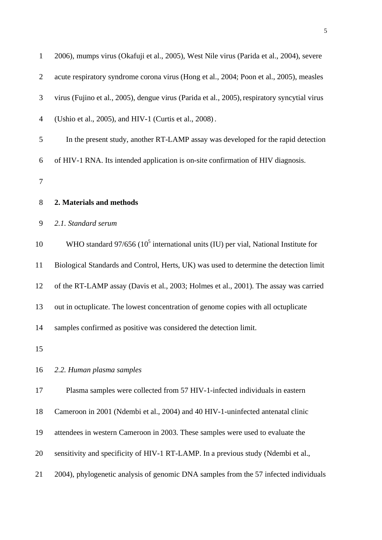| $\mathbf{1}$   | 2006), mumps virus (Okafuji et al., 2005), West Nile virus (Parida et al., 2004), severe     |
|----------------|----------------------------------------------------------------------------------------------|
| $\mathbf{2}$   | acute respiratory syndrome corona virus (Hong et al., 2004; Poon et al., 2005), measles      |
| 3              | virus (Fujino et al., 2005), dengue virus (Parida et al., 2005), respiratory syncytial virus |
| $\overline{4}$ | (Ushio et al., 2005), and HIV-1 (Curtis et al., 2008).                                       |
| $\mathfrak s$  | In the present study, another RT-LAMP assay was developed for the rapid detection            |
| 6              | of HIV-1 RNA. Its intended application is on-site confirmation of HIV diagnosis.             |
| $\tau$         |                                                                                              |
| $8\,$          | 2. Materials and methods                                                                     |
| 9              | 2.1. Standard serum                                                                          |
| 10             | WHO standard $97/656 (10^5)$ international units (IU) per vial, National Institute for       |
| 11             | Biological Standards and Control, Herts, UK) was used to determine the detection limit       |
| 12             | of the RT-LAMP assay (Davis et al., 2003; Holmes et al., 2001). The assay was carried        |
| 13             | out in octuplicate. The lowest concentration of genome copies with all octuplicate           |
| 14             | samples confirmed as positive was considered the detection limit.                            |
| 15             |                                                                                              |
| 16             | 2.2. Human plasma samples                                                                    |
| 17             | Plasma samples were collected from 57 HIV-1-infected individuals in eastern                  |
| 18             | Cameroon in 2001 (Ndembi et al., 2004) and 40 HIV-1-uninfected antenatal clinic              |
| 19             | attendees in western Cameroon in 2003. These samples were used to evaluate the               |
| 20             | sensitivity and specificity of HIV-1 RT-LAMP. In a previous study (Ndembi et al.,            |
| 21             | 2004), phylogenetic analysis of genomic DNA samples from the 57 infected individuals         |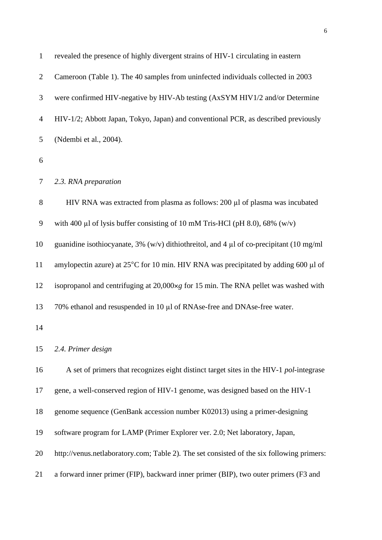| $\mathbf{1}$   | revealed the presence of highly divergent strains of HIV-1 circulating in eastern            |
|----------------|----------------------------------------------------------------------------------------------|
| $\overline{2}$ | Cameroon (Table 1). The 40 samples from uninfected individuals collected in 2003             |
| 3              | were confirmed HIV-negative by HIV-Ab testing (AxSYM HIV1/2 and/or Determine                 |
| 4              | HIV-1/2; Abbott Japan, Tokyo, Japan) and conventional PCR, as described previously           |
| 5              | (Ndembi et al., 2004).                                                                       |
| 6              |                                                                                              |
| 7              | 2.3. RNA preparation                                                                         |
| 8              | HIV RNA was extracted from plasma as follows: 200 µl of plasma was incubated                 |
| 9              | with 400 µl of lysis buffer consisting of 10 mM Tris-HCl (pH 8.0), 68% (w/v)                 |
| 10             | guanidine isothiocyanate, 3% (w/v) dithiothreitol, and 4 $\mu$ l of co-precipitant (10 mg/ml |
| 11             | amylopectin azure) at 25°C for 10 min. HIV RNA was precipitated by adding 600 µl of          |
| 12             | isopropanol and centrifuging at 20,000xg for 15 min. The RNA pellet was washed with          |
| 13             | 70% ethanol and resuspended in 10 µl of RNAse-free and DNAse-free water.                     |
| 14             |                                                                                              |
| 15             | 2.4. Primer design                                                                           |
| 16             | A set of primers that recognizes eight distinct target sites in the HIV-1 pol-integrase      |
| 17             | gene, a well-conserved region of HIV-1 genome, was designed based on the HIV-1               |
| 18             | genome sequence (GenBank accession number K02013) using a primer-designing                   |
| 19             | software program for LAMP (Primer Explorer ver. 2.0; Net laboratory, Japan,                  |
| 20             | http://venus.netlaboratory.com; Table 2). The set consisted of the six following primers:    |
| 21             | a forward inner primer (FIP), backward inner primer (BIP), two outer primers (F3 and         |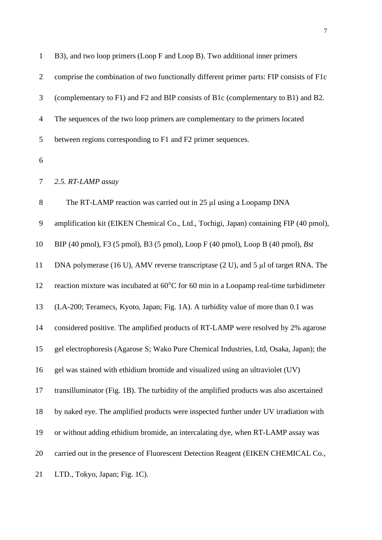| $\mathbf{1}$   | B3), and two loop primers (Loop F and Loop B). Two additional inner primers              |
|----------------|------------------------------------------------------------------------------------------|
| $\overline{2}$ | comprise the combination of two functionally different primer parts: FIP consists of F1c |
| 3              | (complementary to F1) and F2 and BIP consists of B1c (complementary to B1) and B2.       |
| $\overline{4}$ | The sequences of the two loop primers are complementary to the primers located           |
| 5              | between regions corresponding to F1 and F2 primer sequences.                             |
| 6              |                                                                                          |
| 7              | 2.5. RT-LAMP assay                                                                       |
| 8              | The RT-LAMP reaction was carried out in 25 µl using a Loopamp DNA                        |
| 9              | amplification kit (EIKEN Chemical Co., Ltd., Tochigi, Japan) containing FIP (40 pmol),   |
| 10             | BIP (40 pmol), F3 (5 pmol), B3 (5 pmol), Loop F (40 pmol), Loop B (40 pmol), Bst         |
| 11             | DNA polymerase (16 U), AMV reverse transcriptase (2 U), and 5 $\mu$ l of target RNA. The |
| 12             | reaction mixture was incubated at 60°C for 60 min in a Loopamp real-time turbidimeter    |
| 13             | (LA-200; Teramecs, Kyoto, Japan; Fig. 1A). A turbidity value of more than 0.1 was        |
| 14             | considered positive. The amplified products of RT-LAMP were resolved by 2% agarose       |
| 15             | gel electrophoresis (Agarose S; Wako Pure Chemical Industries, Ltd, Osaka, Japan); the   |
| 16             | gel was stained with ethidium bromide and visualized using an ultraviolet (UV)           |
| 17             | transilluminator (Fig. 1B). The turbidity of the amplified products was also ascertained |
| 18             | by naked eye. The amplified products were inspected further under UV irradiation with    |
| 19             | or without adding ethidium bromide, an intercalating dye, when RT-LAMP assay was         |
| 20             | carried out in the presence of Fluorescent Detection Reagent (EIKEN CHEMICAL Co.,        |
| 21             | LTD., Tokyo, Japan; Fig. 1C).                                                            |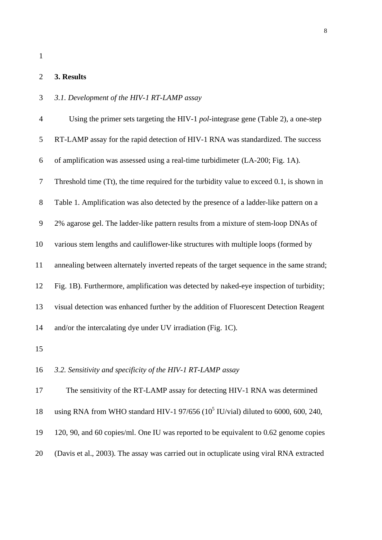#### **3. Results**

### *3.1. Development of the HIV-1 RT-LAMP assay*

| $\overline{4}$ | Using the primer sets targeting the HIV-1 pol-integrase gene (Table 2), a one-step        |
|----------------|-------------------------------------------------------------------------------------------|
| 5              | RT-LAMP assay for the rapid detection of HIV-1 RNA was standardized. The success          |
| 6              | of amplification was assessed using a real-time turbidimeter (LA-200; Fig. 1A).           |
| $\tau$         | Threshold time (Tt), the time required for the turbidity value to exceed 0.1, is shown in |
| $8\,$          | Table 1. Amplification was also detected by the presence of a ladder-like pattern on a    |
| 9              | 2% agarose gel. The ladder-like pattern results from a mixture of stem-loop DNAs of       |
| 10             | various stem lengths and cauliflower-like structures with multiple loops (formed by       |
| 11             | annealing between alternately inverted repeats of the target sequence in the same strand; |
| 12             | Fig. 1B). Furthermore, amplification was detected by naked-eye inspection of turbidity;   |
| 13             | visual detection was enhanced further by the addition of Fluorescent Detection Reagent    |
| 14             | and/or the intercalating dye under UV irradiation (Fig. 1C).                              |
| 15             |                                                                                           |
| 16             | 3.2. Sensitivity and specificity of the HIV-1 RT-LAMP assay                               |
| 17             | The sensitivity of the RT-LAMP assay for detecting HIV-1 RNA was determined               |
| 18             | using RNA from WHO standard HIV-1 97/656 ( $10^5$ IU/vial) diluted to 6000, 600, 240,     |

- 120, 90, and 60 copies/ml. One IU was reported to be equivalent to 0.62 genome copies
- (Davis et al., 2003). The assay was carried out in octuplicate using viral RNA extracted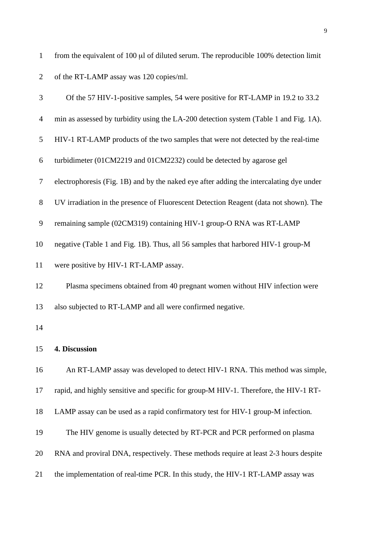of the RT-LAMP assay was 120 copies/ml. Of the 57 HIV-1-positive samples, 54 were positive for RT-LAMP in 19.2 to 33.2 min as assessed by turbidity using the LA-200 detection system (Table 1 and Fig. 1A). HIV-1 RT-LAMP products of the two samples that were not detected by the real-time turbidimeter (01CM2219 and 01CM2232) could be detected by agarose gel electrophoresis (Fig. 1B) and by the naked eye after adding the intercalating dye under UV irradiation in the presence of Fluorescent Detection Reagent (data not shown). The remaining sample (02CM319) containing HIV-1 group-O RNA was RT-LAMP negative (Table 1 and Fig. 1B). Thus, all 56 samples that harbored HIV-1 group-M were positive by HIV-1 RT-LAMP assay. Plasma specimens obtained from 40 pregnant women without HIV infection were also subjected to RT-LAMP and all were confirmed negative. **4. Discussion** An RT-LAMP assay was developed to detect HIV-1 RNA. This method was simple, rapid, and highly sensitive and specific for group-M HIV-1. Therefore, the HIV-1 RT- LAMP assay can be used as a rapid confirmatory test for HIV-1 group-M infection. The HIV genome is usually detected by RT-PCR and PCR performed on plasma RNA and proviral DNA, respectively. These methods require at least 2-3 hours despite the implementation of real-time PCR. In this study, the HIV-1 RT-LAMP assay was

from the equivalent of 100 µl of diluted serum. The reproducible 100% detection limit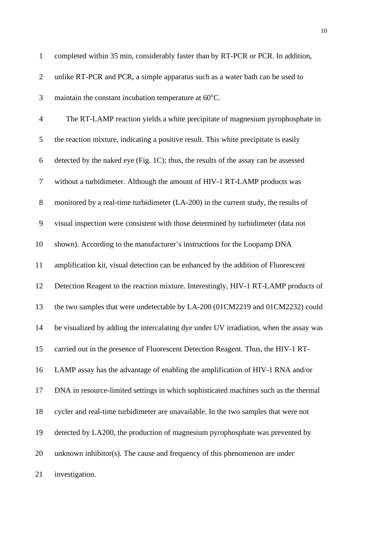| $\mathbf{1}$   | completed within 35 min, considerably faster than by RT-PCR or PCR. In addition,       |
|----------------|----------------------------------------------------------------------------------------|
| $\overline{2}$ | unlike RT-PCR and PCR, a simple apparatus such as a water bath can be used to          |
| 3              | maintain the constant incubation temperature at 60°C.                                  |
| $\overline{4}$ | The RT-LAMP reaction yields a white precipitate of magnesium pyrophosphate in          |
| 5              | the reaction mixture, indicating a positive result. This white precipitate is easily   |
| 6              | detected by the naked eye (Fig. 1C); thus, the results of the assay can be assessed    |
| $\tau$         | without a turbidimeter. Although the amount of HIV-1 RT-LAMP products was              |
| 8              | monitored by a real-time turbidimeter (LA-200) in the current study, the results of    |
| 9              | visual inspection were consistent with those determined by turbidimeter (data not      |
| 10             | shown). According to the manufacturer's instructions for the Loopamp DNA               |
| 11             | amplification kit, visual detection can be enhanced by the addition of Fluorescent     |
| 12             | Detection Reagent to the reaction mixture. Interestingly, HIV-1 RT-LAMP products of    |
| 13             | the two samples that were undetectable by LA-200 (01CM2219 and 01CM2232) could         |
| 14             | be visualized by adding the intercalating dye under UV irradiation, when the assay was |
| 15             | carried out in the presence of Fluorescent Detection Reagent. Thus, the HIV-1 RT-      |
| 16             | LAMP assay has the advantage of enabling the amplification of HIV-1 RNA and/or         |
| 17             | DNA in resource-limited settings in which sophisticated machines such as the thermal   |
| 18             | cycler and real-time turbidimeter are unavailable. In the two samples that were not    |
| 19             | detected by LA200, the production of magnesium pyrophosphate was prevented by          |
| 20             | unknown inhibitor(s). The cause and frequency of this phenomenon are under             |
| 21             | investigation.                                                                         |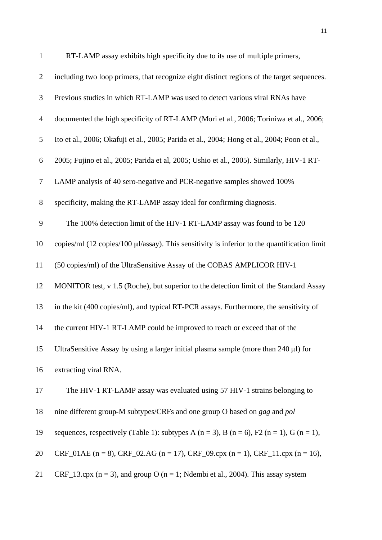| 1              | RT-LAMP assay exhibits high specificity due to its use of multiple primers,                                      |
|----------------|------------------------------------------------------------------------------------------------------------------|
| $\overline{2}$ | including two loop primers, that recognize eight distinct regions of the target sequences.                       |
| 3              | Previous studies in which RT-LAMP was used to detect various viral RNAs have                                     |
| $\overline{4}$ | documented the high specificity of RT-LAMP (Mori et al., 2006; Toriniwa et al., 2006;                            |
| 5              | Ito et al., 2006; Okafuji et al., 2005; Parida et al., 2004; Hong et al., 2004; Poon et al.,                     |
| 6              | 2005; Fujino et al., 2005; Parida et al, 2005; Ushio et al., 2005). Similarly, HIV-1 RT-                         |
| $\overline{7}$ | LAMP analysis of 40 sero-negative and PCR-negative samples showed 100%                                           |
| $8\,$          | specificity, making the RT-LAMP assay ideal for confirming diagnosis.                                            |
| 9              | The 100% detection limit of the HIV-1 RT-LAMP assay was found to be 120                                          |
| 10             | copies/ml $(12 \text{ copies}/100 \mu\text{J/assay})$ . This sensitivity is inferior to the quantification limit |
| 11             | (50 copies/ml) of the UltraSensitive Assay of the COBAS AMPLICOR HIV-1                                           |
| 12             | MONITOR test, v 1.5 (Roche), but superior to the detection limit of the Standard Assay                           |
| 13             | in the kit (400 copies/ml), and typical RT-PCR assays. Furthermore, the sensitivity of                           |
| 14             | the current HIV-1 RT-LAMP could be improved to reach or exceed that of the                                       |
| 15             | UltraSensitive Assay by using a larger initial plasma sample (more than 240 µl) for                              |
| 16             | extracting viral RNA.                                                                                            |
| 17             | The HIV-1 RT-LAMP assay was evaluated using 57 HIV-1 strains belonging to                                        |
| 18             | nine different group-M subtypes/CRFs and one group O based on gag and pol                                        |
| 19             | sequences, respectively (Table 1): subtypes A ( $n = 3$ ), B ( $n = 6$ ), F2 ( $n = 1$ ), G ( $n = 1$ ),         |
| 20             | CRF_01AE (n = 8), CRF_02.AG (n = 17), CRF_09.cpx (n = 1), CRF_11.cpx (n = 16),                                   |
| 21             | CRF_13.cpx ( $n = 3$ ), and group O ( $n = 1$ ; Ndembi et al., 2004). This assay system                          |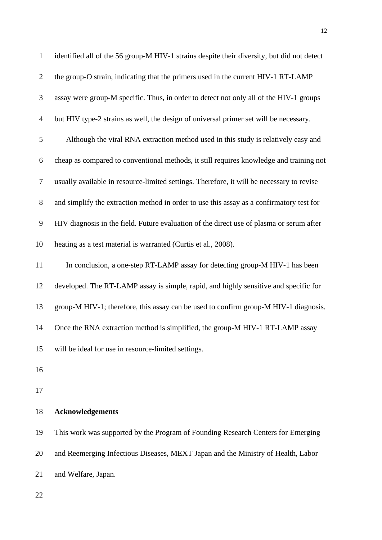| $\mathbf{1}$     | identified all of the 56 group-M HIV-1 strains despite their diversity, but did not detect |
|------------------|--------------------------------------------------------------------------------------------|
| $\mathbf{2}$     | the group-O strain, indicating that the primers used in the current HIV-1 RT-LAMP          |
| 3                | assay were group-M specific. Thus, in order to detect not only all of the HIV-1 groups     |
| $\overline{4}$   | but HIV type-2 strains as well, the design of universal primer set will be necessary.      |
| $\sqrt{5}$       | Although the viral RNA extraction method used in this study is relatively easy and         |
| 6                | cheap as compared to conventional methods, it still requires knowledge and training not    |
| $\boldsymbol{7}$ | usually available in resource-limited settings. Therefore, it will be necessary to revise  |
| $8\,$            | and simplify the extraction method in order to use this assay as a confirmatory test for   |
| 9                | HIV diagnosis in the field. Future evaluation of the direct use of plasma or serum after   |
| 10               | heating as a test material is warranted (Curtis et al., 2008).                             |
| 11               | In conclusion, a one-step RT-LAMP assay for detecting group-M HIV-1 has been               |
| 12               | developed. The RT-LAMP assay is simple, rapid, and highly sensitive and specific for       |
| 13               | group-M HIV-1; therefore, this assay can be used to confirm group-M HIV-1 diagnosis.       |
| 14               | Once the RNA extraction method is simplified, the group-M HIV-1 RT-LAMP assay              |
| 15               | will be ideal for use in resource-limited settings.                                        |
| 16               |                                                                                            |
| 17               |                                                                                            |
| 18               | <b>Acknowledgements</b>                                                                    |
| 19               | This work was supported by the Program of Founding Research Centers for Emerging           |
| 20               | and Reemerging Infectious Diseases, MEXT Japan and the Ministry of Health, Labor           |
| 21               | and Welfare, Japan.                                                                        |
| 22               |                                                                                            |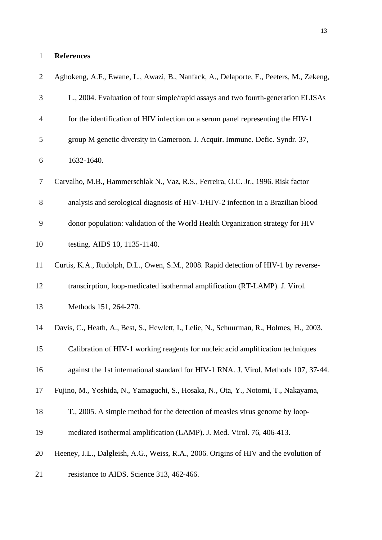#### **References**

| $\overline{2}$ | Aghokeng, A.F., Ewane, L., Awazi, B., Nanfack, A., Delaporte, E., Peeters, M., Zekeng,   |
|----------------|------------------------------------------------------------------------------------------|
| 3              | L., 2004. Evaluation of four simple/rapid assays and two fourth-generation ELISAs        |
| $\overline{4}$ | for the identification of HIV infection on a serum panel representing the HIV-1          |
| 5              | group M genetic diversity in Cameroon. J. Acquir. Immune. Defic. Syndr. 37,              |
| 6              | 1632-1640.                                                                               |
| $\tau$         | Carvalho, M.B., Hammerschlak N., Vaz, R.S., Ferreira, O.C. Jr., 1996. Risk factor        |
| $8\,$          | analysis and serological diagnosis of HIV-1/HIV-2 infection in a Brazilian blood         |
| 9              | donor population: validation of the World Health Organization strategy for HIV           |
| 10             | testing. AIDS 10, 1135-1140.                                                             |
| 11             | Curtis, K.A., Rudolph, D.L., Owen, S.M., 2008. Rapid detection of HIV-1 by reverse-      |
| 12             | transcirption, loop-medicated isothermal amplification (RT-LAMP). J. Virol.              |
| 13             | Methods 151, 264-270.                                                                    |
| 14             | Davis, C., Heath, A., Best, S., Hewlett, I., Lelie, N., Schuurman, R., Holmes, H., 2003. |
| 15             | Calibration of HIV-1 working reagents for nucleic acid amplification techniques          |
| 16             | against the 1st international standard for HIV-1 RNA. J. Virol. Methods 107, 37-44.      |
| 17             | Fujino, M., Yoshida, N., Yamaguchi, S., Hosaka, N., Ota, Y., Notomi, T., Nakayama,       |
| 18             | T., 2005. A simple method for the detection of measles virus genome by loop-             |
| 19             | mediated isothermal amplification (LAMP). J. Med. Virol. 76, 406-413.                    |
| 20             | Heeney, J.L., Dalgleish, A.G., Weiss, R.A., 2006. Origins of HIV and the evolution of    |
| 21             | resistance to AIDS. Science 313, 462-466.                                                |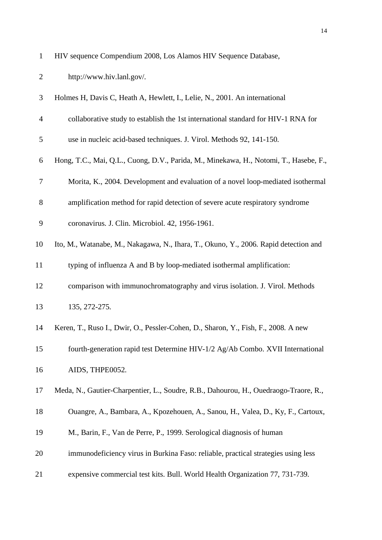| http://www.hiv.lanl.gov/. |
|---------------------------|
|                           |

| 3              | Holmes H, Davis C, Heath A, Hewlett, I., Lelie, N., 2001. An international            |
|----------------|---------------------------------------------------------------------------------------|
| $\overline{4}$ | collaborative study to establish the 1st international standard for HIV-1 RNA for     |
| 5              | use in nucleic acid-based techniques. J. Virol. Methods 92, 141-150.                  |
| 6              | Hong, T.C., Mai, Q.L., Cuong, D.V., Parida, M., Minekawa, H., Notomi, T., Hasebe, F., |
| $\tau$         | Morita, K., 2004. Development and evaluation of a novel loop-mediated isothermal      |
| 8              | amplification method for rapid detection of severe acute respiratory syndrome         |
| 9              | coronavirus. J. Clin. Microbiol. 42, 1956-1961.                                       |
| 10             | Ito, M., Watanabe, M., Nakagawa, N., Ihara, T., Okuno, Y., 2006. Rapid detection and  |
| 11             | typing of influenza A and B by loop-mediated isothermal amplification:                |
| 12             | comparison with immunochromatography and virus isolation. J. Virol. Methods           |
| 13             | 135, 272-275.                                                                         |
| 14             | Keren, T., Ruso I., Dwir, O., Pessler-Cohen, D., Sharon, Y., Fish, F., 2008. A new    |
| 15             | fourth-generation rapid test Determine HIV-1/2 Ag/Ab Combo. XVII International        |
| 16             | AIDS, THPE0052.                                                                       |
| 17             | Meda, N., Gautier-Charpentier, L., Soudre, R.B., Dahourou, H., Ouedraogo-Traore, R.,  |
| 18             | Ouangre, A., Bambara, A., Kpozehouen, A., Sanou, H., Valea, D., Ky, F., Cartoux,      |
| 19             | M., Barin, F., Van de Perre, P., 1999. Serological diagnosis of human                 |
| 20             | immunodeficiency virus in Burkina Faso: reliable, practical strategies using less     |
| 21             | expensive commercial test kits. Bull. World Health Organization 77, 731-739.          |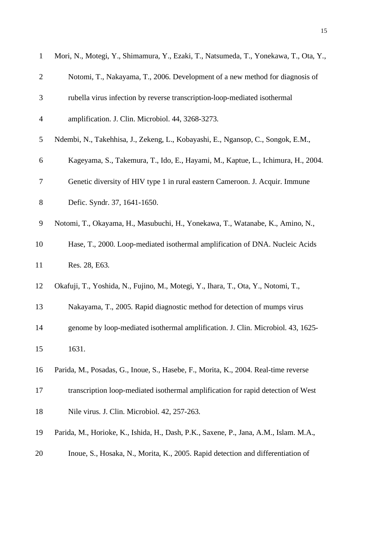| $\mathbf{1}$   | Mori, N., Motegi, Y., Shimamura, Y., Ezaki, T., Natsumeda, T., Yonekawa, T., Ota, Y., |
|----------------|---------------------------------------------------------------------------------------|
| $\mathbf{2}$   | Notomi, T., Nakayama, T., 2006. Development of a new method for diagnosis of          |
| 3              | rubella virus infection by reverse transcription-loop-mediated isothermal             |
| $\overline{4}$ | amplification. J. Clin. Microbiol. 44, 3268-3273.                                     |
| 5              | Ndembi, N., Takehhisa, J., Zekeng, L., Kobayashi, E., Ngansop, C., Songok, E.M.,      |
| 6              | Kageyama, S., Takemura, T., Ido, E., Hayami, M., Kaptue, L., Ichimura, H., 2004.      |
| 7              | Genetic diversity of HIV type 1 in rural eastern Cameroon. J. Acquir. Immune          |
| $8\,$          | Defic. Syndr. 37, 1641-1650.                                                          |
| 9              | Notomi, T., Okayama, H., Masubuchi, H., Yonekawa, T., Watanabe, K., Amino, N.,        |
| 10             | Hase, T., 2000. Loop-mediated isothermal amplification of DNA. Nucleic Acids          |
| 11             | Res. 28, E63.                                                                         |
| 12             | Okafuji, T., Yoshida, N., Fujino, M., Motegi, Y., Ihara, T., Ota, Y., Notomi, T.,     |
| 13             | Nakayama, T., 2005. Rapid diagnostic method for detection of mumps virus              |
| 14             | genome by loop-mediated isothermal amplification. J. Clin. Microbiol. 43, 1625-       |
| 15             | 1631.                                                                                 |
| 16             | Parida, M., Posadas, G., Inoue, S., Hasebe, F., Morita, K., 2004. Real-time reverse   |
| 17             | transcription loop-mediated isothermal amplification for rapid detection of West      |
| 18             | Nile virus. J. Clin. Microbiol. 42, 257-263.                                          |
| 19             | Parida, M., Horioke, K., Ishida, H., Dash, P.K., Saxene, P., Jana, A.M., Islam. M.A., |
| 20             | Inoue, S., Hosaka, N., Morita, K., 2005. Rapid detection and differentiation of       |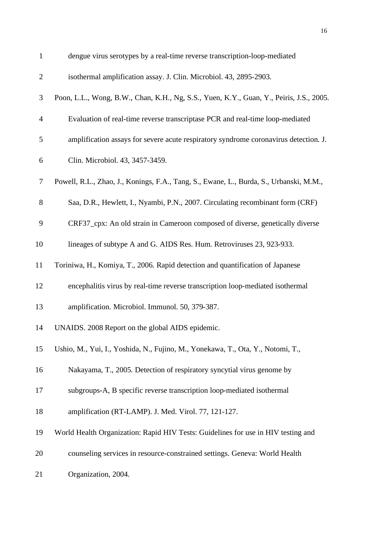| $\mathbf{1}$   | dengue virus serotypes by a real-time reverse transcription-loop-mediated               |
|----------------|-----------------------------------------------------------------------------------------|
| $\overline{2}$ | isothermal amplification assay. J. Clin. Microbiol. 43, 2895-2903.                      |
| 3              | Poon, L.L., Wong, B.W., Chan, K.H., Ng, S.S., Yuen, K.Y., Guan, Y., Peiris, J.S., 2005. |
| $\overline{4}$ | Evaluation of real-time reverse transcriptase PCR and real-time loop-mediated           |
| 5              | amplification assays for severe acute respiratory syndrome coronavirus detection. J.    |
| 6              | Clin. Microbiol. 43, 3457-3459.                                                         |
| $\tau$         | Powell, R.L., Zhao, J., Konings, F.A., Tang, S., Ewane, L., Burda, S., Urbanski, M.M.,  |
| $8\,$          | Saa, D.R., Hewlett, I., Nyambi, P.N., 2007. Circulating recombinant form (CRF)          |
| 9              | CRF37_cpx: An old strain in Cameroon composed of diverse, genetically diverse           |
| 10             | lineages of subtype A and G. AIDS Res. Hum. Retroviruses 23, 923-933.                   |
| 11             | Toriniwa, H., Komiya, T., 2006. Rapid detection and quantification of Japanese          |
| 12             | encephalitis virus by real-time reverse transcription loop-mediated isothermal          |
| 13             | amplification. Microbiol. Immunol. 50, 379-387.                                         |
| 14             | UNAIDS. 2008 Report on the global AIDS epidemic.                                        |
| 15             | Ushio, M., Yui, I., Yoshida, N., Fujino, M., Yonekawa, T., Ota, Y., Notomi, T.,         |
| 16             | Nakayama, T., 2005. Detection of respiratory syncytial virus genome by                  |
| 17             | subgroups-A, B specific reverse transcription loop-mediated isothermal                  |
| 18             | amplification (RT-LAMP). J. Med. Virol. 77, 121-127.                                    |
| 19             | World Health Organization: Rapid HIV Tests: Guidelines for use in HIV testing and       |
| 20             | counseling services in resource-constrained settings. Geneva: World Health              |
| 21             | Organization, 2004.                                                                     |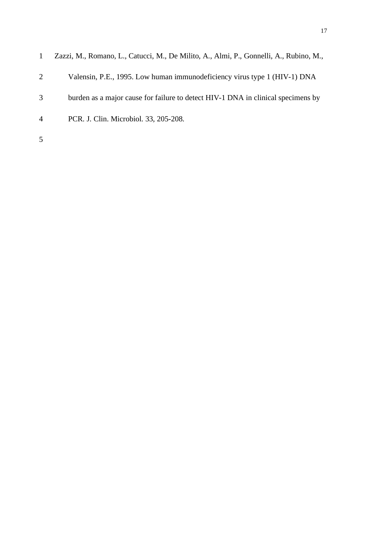|   | Zazzi, M., Romano, L., Catucci, M., De Milito, A., Almi, P., Gonnelli, A., Rubino, M., |
|---|----------------------------------------------------------------------------------------|
| 2 | Valensin, P.E., 1995. Low human immunodeficiency virus type 1 (HIV-1) DNA              |
| 3 | burden as a major cause for failure to detect HIV-1 DNA in clinical specimens by       |
| 4 | PCR. J. Clin. Microbiol. 33, 205-208.                                                  |
| 5 |                                                                                        |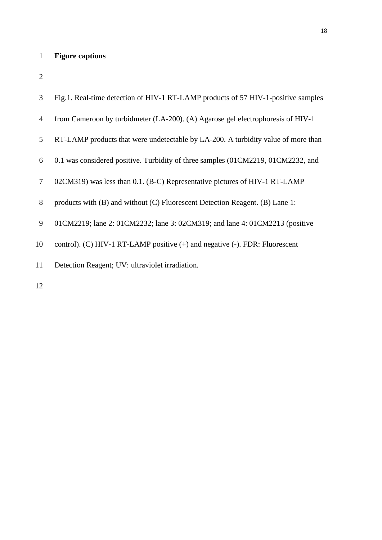## **Figure captions**

| 3              | Fig.1. Real-time detection of HIV-1 RT-LAMP products of 57 HIV-1-positive samples |
|----------------|-----------------------------------------------------------------------------------|
| $\overline{4}$ | from Cameroon by turbidmeter (LA-200). (A) Agarose gel electrophoresis of HIV-1   |
| 5              | RT-LAMP products that were undetectable by LA-200. A turbidity value of more than |
| 6              | 0.1 was considered positive. Turbidity of three samples (01CM2219, 01CM2232, and  |
| $\tau$         | 02CM319) was less than 0.1. (B-C) Representative pictures of HIV-1 RT-LAMP        |
| 8              | products with (B) and without (C) Fluorescent Detection Reagent. (B) Lane 1:      |
| 9              | 01CM2219; lane 2: 01CM2232; lane 3: 02CM319; and lane 4: 01CM2213 (positive       |
| 10             | control). (C) HIV-1 RT-LAMP positive $(+)$ and negative $(-)$ . FDR: Fluorescent  |
| 11             | Detection Reagent; UV: ultraviolet irradiation.                                   |
| 12             |                                                                                   |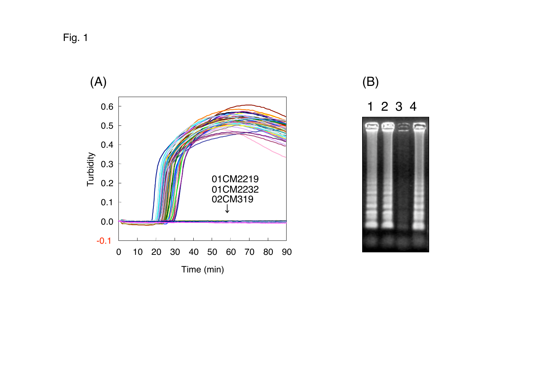Fig. 1



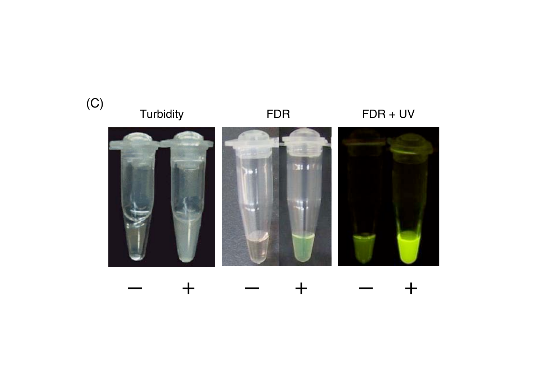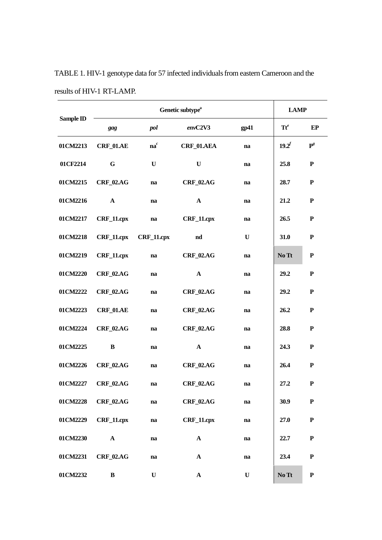|           | Genetic subtype <sup>a</sup> |                       |                   |               |                 | <b>LAMP</b>    |  |
|-----------|------------------------------|-----------------------|-------------------|---------------|-----------------|----------------|--|
| Sample ID | gag                          | pol                   | envC2V3           | gp41          | $\mathbf{Tt}^e$ | EP             |  |
| 01CM2213  | <b>CRF_01.AE</b>             | $na^c$                | <b>CRF_01.AEA</b> | $\mathbf{na}$ | $19.2^f$        | $\mathbf{P}^g$ |  |
| 01CF2214  | G                            | U                     | $\mathbf{U}$      | na            | 25.8            | ${\bf P}$      |  |
| 01CM2215  | <b>CRF_02.AG</b>             | na                    | <b>CRF_02.AG</b>  | na            | 28.7            | ${\bf P}$      |  |
| 01CM2216  | $\mathbf{A}$                 | na                    | $\mathbf{A}$      | na            | 21.2            | ${\bf P}$      |  |
| 01CM2217  | $CRF_11.cpx$                 | na                    | $CRF_11.cpx$      | na            | 26.5            | ${\bf P}$      |  |
| 01CM2218  |                              | CRF_11.cpx CRF_11.cpx | nd                | U             | 31.0            | ${\bf P}$      |  |
| 01CM2219  | $CRF_11.cpx$                 | na                    | <b>CRF_02.AG</b>  | na            | No Tt           | ${\bf P}$      |  |
| 01CM2220  | <b>CRF_02.AG</b>             | na                    | $\mathbf{A}$      | na            | 29.2            | ${\bf P}$      |  |
| 01CM2222  | <b>CRF_02.AG</b>             | na                    | $CRF_02AG$        | na            | 29.2            | ${\bf P}$      |  |
| 01CM2223  | $CRF_01.AE$                  | na                    | <b>CRF_02.AG</b>  | na            | 26.2            | ${\bf P}$      |  |
| 01CM2224  | <b>CRF_02.AG</b>             | na                    | <b>CRF_02.AG</b>  | na            | 28.8            | ${\bf P}$      |  |
| 01CM2225  | B                            | na                    | $\mathbf{A}$      | na            | 24.3            | ${\bf P}$      |  |
| 01CM2226  | <b>CRF_02.AG</b>             | na                    | <b>CRF_02.AG</b>  | na            | 26.4            | ${\bf P}$      |  |
| 01CM2227  | $CRF_02AG$                   | na                    | <b>CRF_02.AG</b>  | na            | 27.2            | P              |  |
| 01CM2228  | <b>CRF_02.AG</b>             | na                    | <b>CRF_02.AG</b>  | na            | 30.9            | ${\bf P}$      |  |
| 01CM2229  | $CRF_11.cpx$                 | na                    | CRF_11.cpx        | na            | 27.0            | ${\bf P}$      |  |
| 01CM2230  | $\mathbf{A}$                 | na                    | $\mathbf A$       | na            | 22.7            | ${\bf P}$      |  |
| 01CM2231  | $CRF_02AG$                   | na                    | $\mathbf{A}$      | na            | 23.4            | ${\bf P}$      |  |
| 01CM2232  | $\bf{B}$                     | U                     | $\mathbf{A}$      | U             | No Tt           | ${\bf P}$      |  |

TABLE 1. HIV-1 genotype data for 57 infected individuals from eastern Cameroon and the results of HIV-1 RT-LAMP.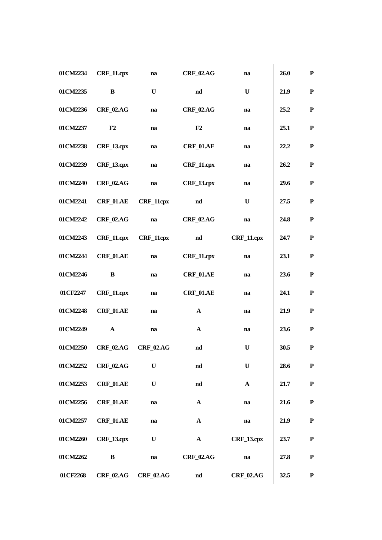| 01CM2234 | CRF_11.cpx        | na                    | <b>CRF_02.AG</b> | na                | 26.0 | ${\bf P}$   |
|----------|-------------------|-----------------------|------------------|-------------------|------|-------------|
| 01CM2235 | B                 | U                     | $\mathbf{nd}$    | U                 | 21.9 | ${\bf P}$   |
| 01CM2236 | <b>CRF 02.AG</b>  | na                    | <b>CRF_02.AG</b> | na                | 25.2 | ${\bf P}$   |
| 01CM2237 | F <sub>2</sub>    | na                    | F2               | na                | 25.1 | $\mathbf P$ |
| 01CM2238 | <b>CRF 13.cpx</b> | na                    | <b>CRF_01.AE</b> | na                | 22.2 | ${\bf P}$   |
| 01CM2239 | <b>CRF_13.cpx</b> | na                    | CRF_11.cpx       | na                | 26.2 | ${\bf P}$   |
| 01CM2240 | <b>CRF_02.AG</b>  | na                    | $CRF_13.cpx$     | na                | 29.6 | $\mathbf P$ |
| 01CM2241 | <b>CRF_01.AE</b>  | <b>CRF_11cpx</b>      | nd               | $\mathbf U$       | 27.5 | $\mathbf P$ |
| 01CM2242 | <b>CRF_02.AG</b>  | na                    | <b>CRF 02.AG</b> | na                | 24.8 | $\mathbf P$ |
| 01CM2243 | $CRF_11.cpx$      | <b>CRF_11cpx</b>      | $\mathbf{nd}$    | CRF_11.cpx        | 24.7 | ${\bf P}$   |
| 01CM2244 | <b>CRF_01.AE</b>  | na                    | CRF_11.cpx       | na                | 23.1 | ${\bf P}$   |
| 01CM2246 | $\bf{B}$          | na                    | $CRF_01.AE$      | na                | 23.6 | $\mathbf P$ |
| 01CF2247 | CRF_11.cpx        | na                    | <b>CRF_01.AE</b> | na                | 24.1 | ${\bf P}$   |
| 01CM2248 | <b>CRF_01.AE</b>  | na                    | $\mathbf A$      | na                | 21.9 | ${\bf P}$   |
| 01CM2249 | $\mathbf{A}$      | na                    | $\mathbf{A}$     | na                | 23.6 | ${\bf P}$   |
| 01CM2250 | <b>CRF_02.AG</b>  | <b>CRF_02.AG</b>      | nd               | U                 | 30.5 | $\mathbf P$ |
| 01CM2252 | <b>CRF_02.AG</b>  | U                     | nd               | $\mathbf U$       | 28.6 | $\mathbf P$ |
| 01CM2253 | $CRF_01.AE$       | $\mathbf U$           | $\mathbf{nd}$    | $\mathbf{A}$      | 21.7 | ${\bf P}$   |
| 01CM2256 | $CRF_01.AE$       | na                    | $\mathbf{A}$     | na                | 21.6 | $\mathbf P$ |
| 01CM2257 | $CRF_01.AE$       | na                    | $\mathbf{A}$     | na                | 21.9 | ${\bf P}$   |
| 01CM2260 | <b>CRF_13.cpx</b> | $\mathbf U$           | ${\bf A}$        | <b>CRF_13.cpx</b> | 23.7 | $\mathbf P$ |
| 01CM2262 | B                 | na                    | <b>CRF_02.AG</b> | na                | 27.8 | $\mathbf P$ |
| 01CF2268 |                   | $CRF_02AG$ $CRF_02AG$ | nd               | <b>CRF_02.AG</b>  | 32.5 | $\mathbf P$ |
|          |                   |                       |                  |                   |      |             |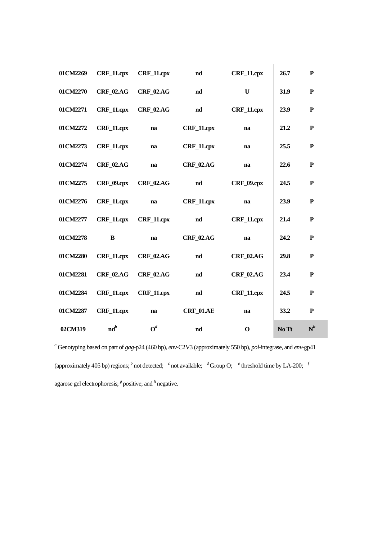| 01CM2269 | $CRF_11.cpx$              | CRF_11.cpx         | nd               | CRF_11.cpx        | 26.7  | ${\bf P}$    |
|----------|---------------------------|--------------------|------------------|-------------------|-------|--------------|
| 01CM2270 | <b>CRF 02.AG</b>          | <b>CRF 02.AG</b>   | nd               | $\mathbf U$       | 31.9  | ${\bf P}$    |
| 01CM2271 | CRF_11.cpx                | <b>CRF 02.AG</b>   | nd               | CRF_11.cpx        | 23.9  | $\mathbf{P}$ |
| 01CM2272 | CRF_11.cpx                | na                 | CRF_11.cpx       | na                | 21,2  | ${\bf P}$    |
| 01CM2273 | CRF_11.cpx                | na                 | CRF_11.cpx       | na                | 25.5  | ${\bf P}$    |
| 01CM2274 | <b>CRF_02.AG</b>          | na                 | <b>CRF_02.AG</b> | na                | 22.6  | ${\bf P}$    |
| 01CM2275 | <b>CRF_09.cpx</b>         | <b>CRF_02.AG</b>   | nd               | <b>CRF_09.cpx</b> | 24.5  | ${\bf P}$    |
| 01CM2276 | $CRF_11.cpx$              | na                 | CRF_11.cpx       | na                | 23.9  | ${\bf P}$    |
| 01CM2277 | $CRF_11.cpx$              | $CRF_11.cpx$       | nd               | CRF_11.cpx        | 21.4  | ${\bf P}$    |
| 01CM2278 | B                         | na                 | <b>CRF 02.AG</b> | na                | 24.2  | ${\bf P}$    |
| 01CM2280 | <b>CRF 11.cpx</b>         | <b>CRF 02.AG</b>   | $\mathbf{nd}$    | <b>CRF_02.AG</b>  | 29.8  | ${\bf P}$    |
| 01CM2281 | <b>CRF_02.AG</b>          | <b>CRF_02.AG</b>   | nd               | <b>CRF_02.AG</b>  | 23.4  | ${\bf P}$    |
| 01CM2284 | $CRF_11.cpx$              | CRF 11.cpx         | nd               | CRF_11.cpx        | 24.5  | ${\bf P}$    |
| 01CM2287 | CRF_11.cpx                | na                 | <b>CRF_01.AE</b> | na                | 33.2  | ${\bf P}$    |
| 02CM319  | $\mathbf{n} \mathbf{d}^b$ | $\boldsymbol{O}^d$ | $\mathbf{nd}$    | $\mathbf 0$       | No Tt | $N^h$        |

*<sup>a</sup>* Genotyping based on part of *gag*-p24 (460 bp), *env*-C2V3 (approximately 550 bp), *pol*-integrase, and *env*-gp41 (approximately 405 bp) regions;  $\frac{b}{c}$  not detected;  $\frac{c}{c}$  not available;  $\frac{d}{c}$  Group O;  $\frac{e}{c}$  threshold time by LA-200;  $\frac{f}{c}$ agarose gel electrophoresis; <sup>8</sup> positive; and <sup>h</sup> negative.